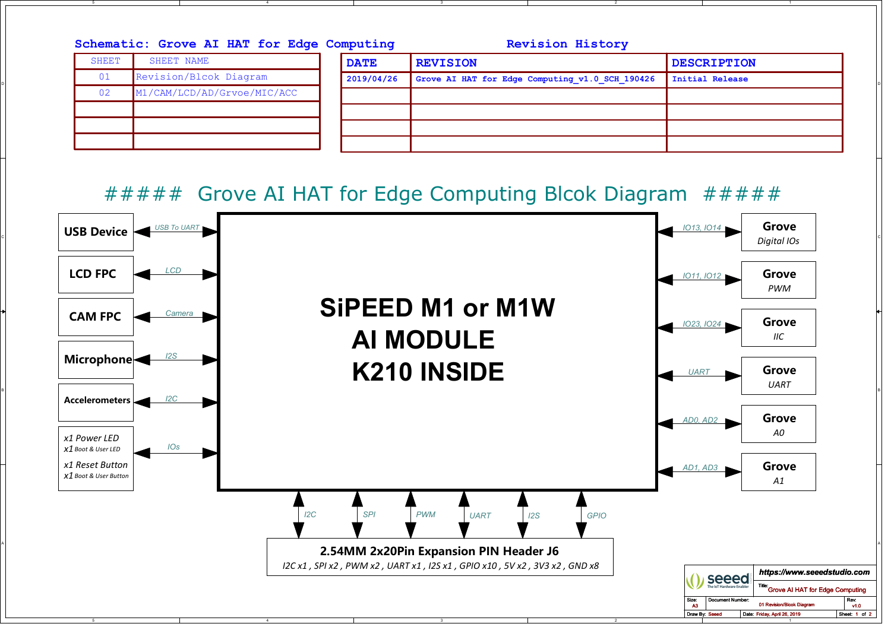| <b>SHEET</b> | SHEET NAME                  | <b>DATE</b> | <b>REVISION</b>                                 | <b>DESCRIPTION</b> |
|--------------|-----------------------------|-------------|-------------------------------------------------|--------------------|
| 01           | Revision/Blcok Diagram      | 2019/04/26  | Grove AI HAT for Edge Computing v1.0 SCH 190426 | Initial Release    |
| 02           | M1/CAM/LCD/AD/Grvoe/MIC/ACC |             |                                                 |                    |
|              |                             |             |                                                 |                    |
|              |                             |             |                                                 |                    |

2

1

3

##### Grove AI HAT for Edge Computing Blcok Diagram #####

5

4